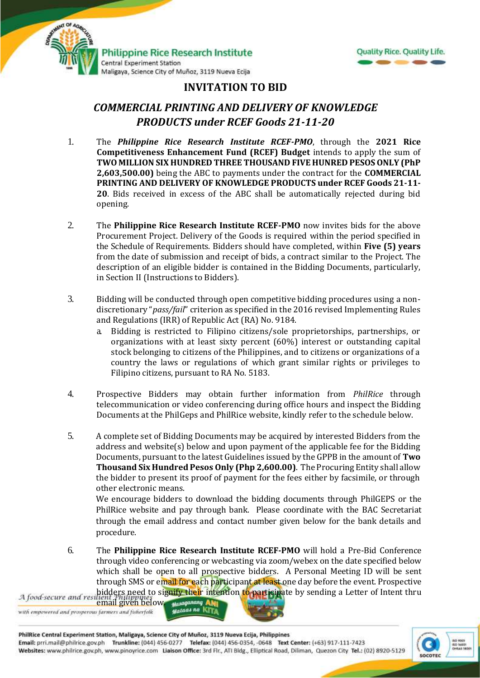



## **INVITATION TO BID**

## *COMMERCIAL PRINTING AND DELIVERY OF KNOWLEDGE PRODUCTS under RCEF Goods 21-11-20*

- 1. The *Philippine Rice Research Institute RCEF-PMO*, through the **2021 Rice Competitiveness Enhancement Fund (RCEF) Budget** intends to apply the sum of **TWO MILLION SIX HUNDRED THREE THOUSAND FIVE HUNRED PESOS ONLY (PhP 2,603,500.00)** being the ABC to payments under the contract for the **COMMERCIAL PRINTING AND DELIVERY OF KNOWLEDGE PRODUCTS under RCEF Goods 21-11- 20**. Bids received in excess of the ABC shall be automatically rejected during bid opening.
- 2. The **Philippine Rice Research Institute RCEF-PMO** now invites bids for the above Procurement Project. Delivery of the Goods is required within the period specified in the Schedule of Requirements. Bidders should have completed, within **Five (5) years** from the date of submission and receipt of bids, a contract similar to the Project. The description of an eligible bidder is contained in the Bidding Documents, particularly, in Section II (Instructions to Bidders).
- 3. Bidding will be conducted through open competitive bidding procedures using a nondiscretionary "*pass/fail*" criterion as specified in the 2016 revised Implementing Rules and Regulations (IRR) of Republic Act (RA) No. 9184.
	- a. Bidding is restricted to Filipino citizens/sole proprietorships, partnerships, or organizations with at least sixty percent (60%) interest or outstanding capital stock belonging to citizens of the Philippines, and to citizens or organizations of a country the laws or regulations of which grant similar rights or privileges to Filipino citizens, pursuant to RA No. 5183.
- 4. Prospective Bidders may obtain further information from *PhilRice* through telecommunication or video conferencing during office hours and inspect the Bidding Documents at the PhilGeps and PhilRice website, kindly refer to the schedule below.
- 5. A complete set of Bidding Documents may be acquired by interested Bidders from the address and website(s) below and upon payment of the applicable fee for the Bidding Documents, pursuant to the latest Guidelines issued by the GPPB in the amount of **Two Thousand Six Hundred Pesos Only (Php 2,600.00)**. The Procuring Entity shall allow the bidder to present its proof of payment for the fees either by facsimile, or through other electronic means.

We encourage bidders to download the bidding documents through PhilGEPS or the PhilRice website and pay through bank. Please coordinate with the BAC Secretariat through the email address and contact number given below for the bank details and procedure.

6. The **Philippine Rice Research Institute RCEF-PMO** will hold a Pre-Bid Conference through video conferencing or webcasting via zoom/webex on the date specified below which shall be open to all prospective bidders. A Personal Meeting ID will be sent through SMS or email for each participant at least one day before the event. Prospective bidders need to signify their intention to participate by sending a Letter of Intent thru A food secure and resilient Philippines

email given below. Masaganang AMI with empowered and prosperous farmers and fisherfolk



PhilRice Central Experiment Station, Maligaya, Science City of Muñoz, 3119 Nueva Ecija, Philippines Email: prri.mail@philrice.gov.ph Trunkline: (044) 456-0277 Telefax: (044) 456-0354, -0648 Text Center: (+63) 917-111-7423 Websites: www.philrice.gov.ph, www.pinoyrice.com Lialson Office: 3rd Flr., ATI Bldg., Elliptical Road, Diliman, Quezon City Tel.: (02) 8920-5129

Malaga na KITI

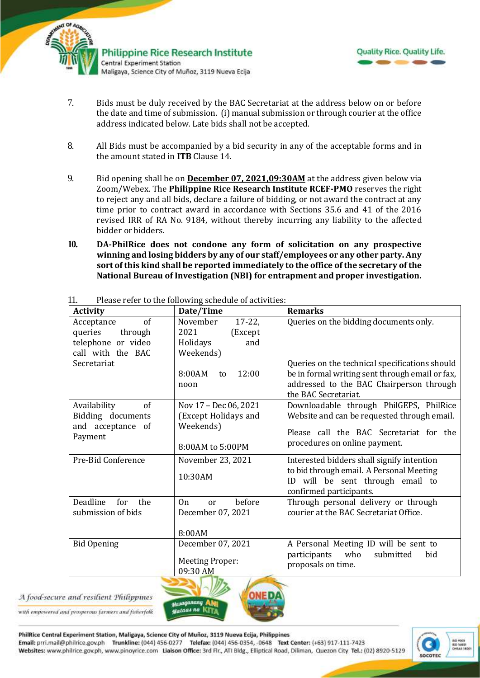



- 7. Bids must be duly received by the BAC Secretariat at the address below on or before the date and time of submission. (i) manual submission or through courier at the office address indicated below*.* Late bids shall not be accepted.
- 8. All Bids must be accompanied by a bid security in any of the acceptable forms and in the amount stated in **ITB** Clause 14.
- 9. Bid opening shall be on **December 07, 2021,09:30AM** at the address given below via Zoom/Webex. The **Philippine Rice Research Institute RCEF-PMO** reserves the right to reject any and all bids, declare a failure of bidding, or not award the contract at any time prior to contract award in accordance with Sections 35.6 and 41 of the 2016 revised IRR of RA No. 9184, without thereby incurring any liability to the affected bidder or bidders.
- **10. DA-PhilRice does not condone any form of solicitation on any prospective winning and losing bidders by any of our staff/employees or any other party. Any sort of this kind shall be reported immediately to the office of the secretary of the National Bureau of Investigation (NBI) for entrapment and proper investigation.**

| <b>Activity</b>                                                                   | Date/Time                                                                      | <b>Remarks</b>                                                                                                                                                        |
|-----------------------------------------------------------------------------------|--------------------------------------------------------------------------------|-----------------------------------------------------------------------------------------------------------------------------------------------------------------------|
| of<br>Acceptance<br>queries<br>through<br>telephone or video<br>call with the BAC | November<br>$17 - 22$<br>2021<br>(Except<br>Holidays<br>and<br>Weekends)       | Queries on the bidding documents only.                                                                                                                                |
| Secretariat                                                                       | 12:00<br>8:00AM<br>to<br>noon                                                  | Queries on the technical specifications should<br>be in formal writing sent through email or fax,<br>addressed to the BAC Chairperson through<br>the BAC Secretariat. |
| Availability<br>of<br>Bidding documents<br>and acceptance of<br>Payment           | Nov 17 - Dec 06, 2021<br>(Except Holidays and<br>Weekends)<br>8:00AM to 5:00PM | Downloadable through PhilGEPS, PhilRice<br>Website and can be requested through email.<br>Please call the BAC Secretariat for the<br>procedures on online payment.    |
| Pre-Bid Conference                                                                | November 23, 2021<br>10:30AM                                                   | Interested bidders shall signify intention<br>to bid through email. A Personal Meeting<br>ID will be sent through email to<br>confirmed participants.                 |
| Deadline<br>for<br>the<br>submission of bids                                      | On<br>before<br><sub>or</sub><br>December 07, 2021<br>8:00AM                   | Through personal delivery or through<br>courier at the BAC Secretariat Office.                                                                                        |
| <b>Bid Opening</b>                                                                | December 07, 2021<br><b>Meeting Proper:</b><br>09:30 AM                        | A Personal Meeting ID will be sent to<br>participants<br>who<br>submitted<br>bid<br>proposals on time.                                                                |

11. Please refer to the following schedule of activities:

A food-secure and resilient Philippines

with empowered and prosperous farmers and fisherfolk



PhilRice Central Experiment Station, Maligaya, Science City of Muñoz, 3119 Nueva Ecija, Philippines Email: prri.mail@philrice.gov.ph Trunkline: (044) 456-0277 Telefax: (044) 456-0354, -0648 Text Center: (+63) 917-111-7423 Websites: www.philrice.gov.ph, www.pinoyrice.com Lialson Office: 3rd Flr., ATI Bldg., Elliptical Road, Diliman, Quezon City Tel.: (02) 8920-5129